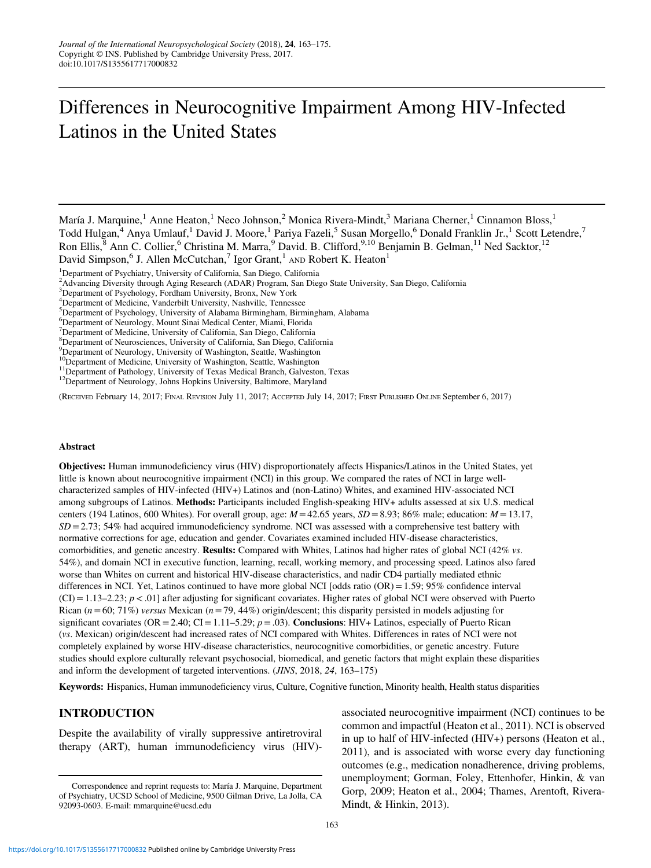# Differences in Neurocognitive Impairment Among HIV-Infected Latinos in the United States

(RECEIVED February 14, 2017; FINAL REVISION July 11, 2017; ACCEPTED July 14, 2017; FIRST PUBLISHED ONLINE September 6, 2017)

#### Abstract

Objectives: Human immunodeficiency virus (HIV) disproportionately affects Hispanics/Latinos in the United States, yet little is known about neurocognitive impairment (NCI) in this group. We compared the rates of NCI in large wellcharacterized samples of HIV-infected (HIV+) Latinos and (non-Latino) Whites, and examined HIV-associated NCI among subgroups of Latinos. Methods: Participants included English-speaking HIV+ adults assessed at six U.S. medical centers (194 Latinos, 600 Whites). For overall group, age:  $M = 42.65$  years,  $SD = 8.93$ ; 86% male; education:  $M = 13.17$ ,  $SD = 2.73$ ; 54% had acquired immunodeficiency syndrome. NCI was assessed with a comprehensive test battery with normative corrections for age, education and gender. Covariates examined included HIV-disease characteristics, comorbidities, and genetic ancestry. **Results:** Compared with Whites, Latinos had higher rates of global NCI (42% vs. 54%), and domain NCI in executive function, learning, recall, working memory, and processing speed. Latinos also fared worse than Whites on current and historical HIV-disease characteristics, and nadir CD4 partially mediated ethnic differences in NCI. Yet, Latinos continued to have more global NCI [odds ratio  $(OR) = 1.59$ ; 95% confidence interval  $(CI) = 1.13-2.23$ ;  $p < .01$  after adjusting for significant covariates. Higher rates of global NCI were observed with Puerto Rican ( $n = 60$ ; 71%) versus Mexican ( $n = 79, 44%$ ) origin/descent; this disparity persisted in models adjusting for significant covariates (OR = 2.40; CI = 1.11–5.29;  $p = .03$ ). Conclusions: HIV+ Latinos, especially of Puerto Rican (vs. Mexican) origin/descent had increased rates of NCI compared with Whites. Differences in rates of NCI were not completely explained by worse HIV-disease characteristics, neurocognitive comorbidities, or genetic ancestry. Future studies should explore culturally relevant psychosocial, biomedical, and genetic factors that might explain these disparities and inform the development of targeted interventions. (JINS, 2018, 24, 163–175)

Keywords: Hispanics, Human immunodeficiency virus, Culture, Cognitive function, Minority health, Health status disparities

## INTRODUCTION

Despite the availability of virally suppressive antiretroviral therapy (ART), human immunodeficiency virus (HIV)-

associated neurocognitive impairment (NCI) continues to be common and impactful (Heaton et al., [2011](#page-11-0)). NCI is observed in up to half of HIV-infected (HIV+) persons (Heaton et al., [2011\)](#page-11-0), and is associated with worse every day functioning outcomes (e.g., medication nonadherence, driving problems, unemployment; Gorman, Foley, Ettenhofer, Hinkin, & van Gorp, [2009;](#page-11-0) Heaton et al., [2004;](#page-11-0) Thames, Arentoft, Rivera-Mindt, & Hinkin, [2013](#page-12-0)).

María J. Marquine,<sup>1</sup> Anne Heaton,<sup>1</sup> Neco Johnson,<sup>2</sup> Monica Rivera-Mindt,<sup>3</sup> Mariana Cherner,<sup>1</sup> Cinnamon Bloss,<sup>1</sup> Todd Hulgan,<sup>4</sup> Anya Umlauf,<sup>1</sup> David J. Moore,<sup>1</sup> Pariya Fazeli,<sup>5</sup> Susan Morgello,<sup>6</sup> Donald Franklin Jr.,<sup>1</sup> Scott Letendre,<sup>7</sup> Ron Ellis,<sup>8</sup> Ann C. Collier,<sup>6</sup> Christina M. Marra,<sup>9</sup> David. B. Clifford,<sup>9,10</sup> Benjamin B. Gelman,<sup>11</sup> Ned Sacktor,<sup>12</sup> David Simpson,<sup>6</sup> J. Allen McCutchan,<sup>7</sup> Igor Grant,<sup>1</sup> AND Robert K. Heaton<sup>1</sup>

<sup>&</sup>lt;sup>1</sup>Department of Psychiatry, University of California, San Diego, California

<sup>2</sup> Advancing Diversity through Aging Research (ADAR) Program, San Diego State University, San Diego, California

<sup>3</sup> Department of Psychology, Fordham University, Bronx, New York

<sup>4</sup> Department of Medicine, Vanderbilt University, Nashville, Tennessee

<sup>5</sup> Department of Psychology, University of Alabama Birmingham, Birmingham, Alabama

<sup>6</sup> Department of Neurology, Mount Sinai Medical Center, Miami, Florida

<sup>&</sup>lt;sup>7</sup>Department of Medicine, University of California, San Diego, California

<sup>8</sup> Department of Neurosciences, University of California, San Diego, California

<sup>&</sup>lt;sup>9</sup>Department of Neurology, University of Washington, Seattle, Washington

<sup>&</sup>lt;sup>10</sup>Department of Medicine, University of Washington, Seattle, Washington <sup>11</sup>Department of Pathology, University of Texas Medical Branch, Galveston, Texas <sup>12</sup>Department of Neurology, Johns Hopkins University, Baltimore,

Correspondence and reprint requests to: María J. Marquine, Department of Psychiatry, UCSD School of Medicine, 9500 Gilman Drive, La Jolla, CA 92093-0603. E-mail: [mmarquine@ucsd.edu](mailto:mmarquine@ucsd.edu)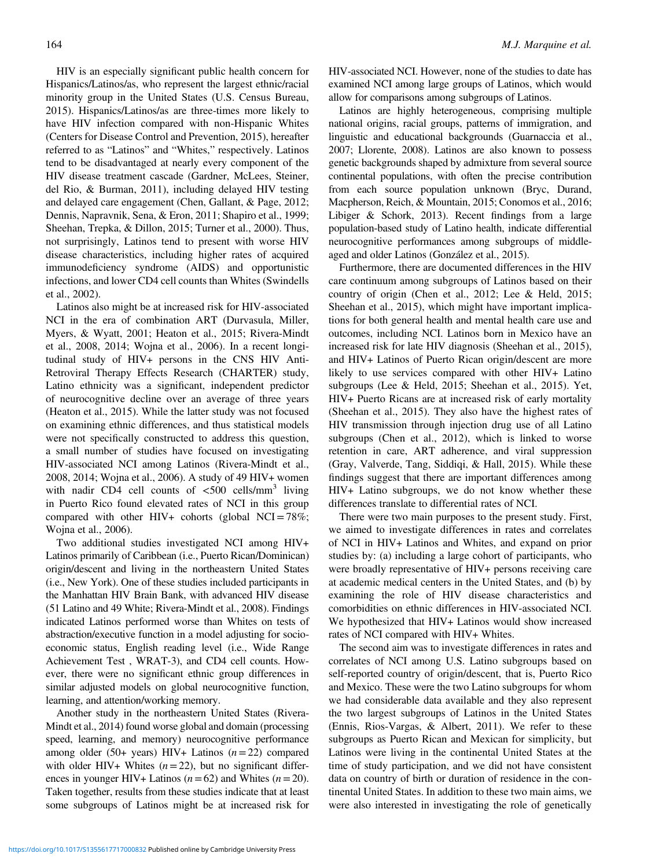HIV is an especially significant public health concern for Hispanics/Latinos/as, who represent the largest ethnic/racial minority group in the United States (U.S. Census Bureau, [2015\)](#page-12-0). Hispanics/Latinos/as are three-times more likely to have HIV infection compared with non-Hispanic Whites (Centers for Disease Control and Prevention, [2015](#page-10-0)), hereafter referred to as "Latinos" and "Whites," respectively. Latinos tend to be disadvantaged at nearly every component of the HIV disease treatment cascade (Gardner, McLees, Steiner, del Rio, & Burman, [2011](#page-11-0)), including delayed HIV testing and delayed care engagement (Chen, Gallant, & Page, [2012](#page-10-0); Dennis, Napravnik, Sena, & Eron, [2011](#page-10-0); Shapiro et al., [1999](#page-12-0); Sheehan, Trepka, & Dillon, [2015](#page-12-0); Turner et al., [2000](#page-12-0)). Thus, not surprisingly, Latinos tend to present with worse HIV disease characteristics, including higher rates of acquired immunodeficiency syndrome (AIDS) and opportunistic infections, and lower CD4 cell counts than Whites (Swindells et al., [2002](#page-12-0)).

Latinos also might be at increased risk for HIV-associated NCI in the era of combination ART (Durvasula, Miller, Myers, & Wyatt, [2001;](#page-10-0) Heaton et al., [2015;](#page-11-0) Rivera-Mindt et al., [2008, 2014](#page-12-0); Wojna et al., [2006\)](#page-12-0). In a recent longitudinal study of HIV+ persons in the CNS HIV Anti-Retroviral Therapy Effects Research (CHARTER) study, Latino ethnicity was a significant, independent predictor of neurocognitive decline over an average of three years (Heaton et al., [2015\)](#page-11-0). While the latter study was not focused on examining ethnic differences, and thus statistical models were not specifically constructed to address this question, a small number of studies have focused on investigating HIV-associated NCI among Latinos (Rivera-Mindt et al., [2008, 2014;](#page-12-0) Wojna et al., [2006\)](#page-12-0). A study of 49 HIV+ women with nadir CD4 cell counts of  $\langle 500 \text{ cells/mm}^3$  living in Puerto Rico found elevated rates of NCI in this group compared with other HIV+ cohorts (global NCI =  $78\%$ ; Wojna et al., [2006](#page-12-0)).

Two additional studies investigated NCI among HIV+ Latinos primarily of Caribbean (i.e., Puerto Rican/Dominican) origin/descent and living in the northeastern United States (i.e., New York). One of these studies included participants in the Manhattan HIV Brain Bank, with advanced HIV disease (51 Latino and 49 White; Rivera-Mindt et al., [2008\)](#page-12-0). Findings indicated Latinos performed worse than Whites on tests of abstraction/executive function in a model adjusting for socioeconomic status, English reading level (i.e., Wide Range Achievement Test , WRAT-3), and CD4 cell counts. However, there were no significant ethnic group differences in similar adjusted models on global neurocognitive function, learning, and attention/working memory.

Another study in the northeastern United States (Rivera-Mindt et al., [2014](#page-12-0)) found worse global and domain (processing speed, learning, and memory) neurocognitive performance among older (50+ years) HIV+ Latinos  $(n=22)$  compared with older HIV+ Whites  $(n=22)$ , but no significant differences in younger HIV+ Latinos ( $n=62$ ) and Whites ( $n=20$ ). Taken together, results from these studies indicate that at least some subgroups of Latinos might be at increased risk for

HIV-associated NCI. However, none of the studies to date has examined NCI among large groups of Latinos, which would allow for comparisons among subgroups of Latinos.

Latinos are highly heterogeneous, comprising multiple national origins, racial groups, patterns of immigration, and linguistic and educational backgrounds (Guarnaccia et al., [2007](#page-11-0); Llorente, [2008](#page-11-0)). Latinos are also known to possess genetic backgrounds shaped by admixture from several source continental populations, with often the precise contribution from each source population unknown (Bryc, Durand, Macpherson, Reich, & Mountain, [2015;](#page-10-0) Conomos et al., [2016](#page-10-0); Libiger & Schork, [2013\)](#page-11-0). Recent findings from a large population-based study of Latino health, indicate differential neurocognitive performances among subgroups of middleaged and older Latinos (González et al., [2015\)](#page-11-0).

Furthermore, there are documented differences in the HIV care continuum among subgroups of Latinos based on their country of origin (Chen et al., [2012](#page-10-0); Lee & Held, [2015](#page-11-0); Sheehan et al., [2015\)](#page-12-0), which might have important implications for both general health and mental health care use and outcomes, including NCI. Latinos born in Mexico have an increased risk for late HIV diagnosis (Sheehan et al., [2015](#page-12-0)), and HIV+ Latinos of Puerto Rican origin/descent are more likely to use services compared with other HIV+ Latino subgroups (Lee & Held, [2015](#page-11-0); Sheehan et al., [2015\)](#page-12-0). Yet, HIV+ Puerto Ricans are at increased risk of early mortality (Sheehan et al., [2015\)](#page-12-0). They also have the highest rates of HIV transmission through injection drug use of all Latino subgroups (Chen et al., [2012](#page-10-0)), which is linked to worse retention in care, ART adherence, and viral suppression (Gray, Valverde, Tang, Siddiqi, & Hall, [2015\)](#page-11-0). While these findings suggest that there are important differences among HIV+ Latino subgroups, we do not know whether these differences translate to differential rates of NCI.

There were two main purposes to the present study. First, we aimed to investigate differences in rates and correlates of NCI in HIV+ Latinos and Whites, and expand on prior studies by: (a) including a large cohort of participants, who were broadly representative of HIV+ persons receiving care at academic medical centers in the United States, and (b) by examining the role of HIV disease characteristics and comorbidities on ethnic differences in HIV-associated NCI. We hypothesized that HIV+ Latinos would show increased rates of NCI compared with HIV+ Whites.

The second aim was to investigate differences in rates and correlates of NCI among U.S. Latino subgroups based on self-reported country of origin/descent, that is, Puerto Rico and Mexico. These were the two Latino subgroups for whom we had considerable data available and they also represent the two largest subgroups of Latinos in the United States (Ennis, Rios-Vargas, & Albert, [2011\)](#page-11-0). We refer to these subgroups as Puerto Rican and Mexican for simplicity, but Latinos were living in the continental United States at the time of study participation, and we did not have consistent data on country of birth or duration of residence in the continental United States. In addition to these two main aims, we were also interested in investigating the role of genetically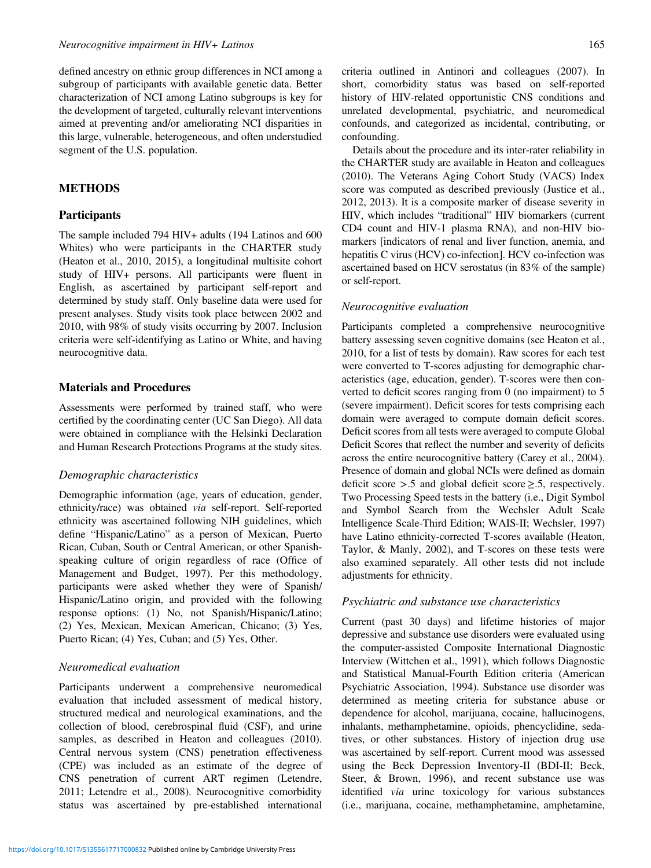defined ancestry on ethnic group differences in NCI among a subgroup of participants with available genetic data. Better characterization of NCI among Latino subgroups is key for the development of targeted, culturally relevant interventions aimed at preventing and/or ameliorating NCI disparities in this large, vulnerable, heterogeneous, and often understudied segment of the U.S. population.

# **METHODS**

### **Participants**

The sample included 794 HIV+ adults (194 Latinos and 600 Whites) who were participants in the CHARTER study (Heaton et al., [2010, 2015\)](#page-11-0), a longitudinal multisite cohort study of HIV+ persons. All participants were fluent in English, as ascertained by participant self-report and determined by study staff. Only baseline data were used for present analyses. Study visits took place between 2002 and 2010, with 98% of study visits occurring by 2007. Inclusion criteria were self-identifying as Latino or White, and having neurocognitive data.

#### Materials and Procedures

Assessments were performed by trained staff, who were certified by the coordinating center (UC San Diego). All data were obtained in compliance with the Helsinki Declaration and Human Research Protections Programs at the study sites.

#### Demographic characteristics

Demographic information (age, years of education, gender, ethnicity/race) was obtained via self-report. Self-reported ethnicity was ascertained following NIH guidelines, which define "Hispanic/Latino" as a person of Mexican, Puerto Rican, Cuban, South or Central American, or other Spanishspeaking culture of origin regardless of race (Office of Management and Budget, [1997](#page-12-0)). Per this methodology, participants were asked whether they were of Spanish/ Hispanic/Latino origin, and provided with the following response options: (1) No, not Spanish/Hispanic/Latino; (2) Yes, Mexican, Mexican American, Chicano; (3) Yes, Puerto Rican; (4) Yes, Cuban; and (5) Yes, Other.

#### Neuromedical evaluation

Participants underwent a comprehensive neuromedical evaluation that included assessment of medical history, structured medical and neurological examinations, and the collection of blood, cerebrospinal fluid (CSF), and urine samples, as described in Heaton and colleagues (2010). Central nervous system (CNS) penetration effectiveness (CPE) was included as an estimate of the degree of CNS penetration of current ART regimen (Letendre, [2011;](#page-11-0) Letendre et al., [2008](#page-11-0)). Neurocognitive comorbidity status was ascertained by pre-established international criteria outlined in Antinori and colleagues [\(2007](#page-10-0)). In short, comorbidity status was based on self-reported history of HIV-related opportunistic CNS conditions and unrelated developmental, psychiatric, and neuromedical confounds, and categorized as incidental, contributing, or confounding.

Details about the procedure and its inter-rater reliability in the CHARTER study are available in Heaton and colleagues (2010). The Veterans Aging Cohort Study (VACS) Index score was computed as described previously (Justice et al., [2012, 2013](#page-11-0)). It is a composite marker of disease severity in HIV, which includes "traditional" HIV biomarkers (current CD4 count and HIV-1 plasma RNA), and non-HIV biomarkers [indicators of renal and liver function, anemia, and hepatitis C virus (HCV) co-infection]. HCV co-infection was ascertained based on HCV serostatus (in 83% of the sample) or self-report.

#### Neurocognitive evaluation

Participants completed a comprehensive neurocognitive battery assessing seven cognitive domains (see Heaton et al., [2010,](#page-11-0) for a list of tests by domain). Raw scores for each test were converted to T-scores adjusting for demographic characteristics (age, education, gender). T-scores were then converted to deficit scores ranging from 0 (no impairment) to 5 (severe impairment). Deficit scores for tests comprising each domain were averaged to compute domain deficit scores. Deficit scores from all tests were averaged to compute Global Deficit Scores that reflect the number and severity of deficits across the entire neurocognitive battery (Carey et al., [2004](#page-10-0)). Presence of domain and global NCIs were defined as domain deficit score  $> .5$  and global deficit score  $\ge .5$ , respectively. Two Processing Speed tests in the battery (i.e., Digit Symbol and Symbol Search from the Wechsler Adult Scale Intelligence Scale-Third Edition; WAIS-II; Wechsler, [1997\)](#page-12-0) have Latino ethnicity-corrected T-scores available (Heaton, Taylor, & Manly, [2002](#page-11-0)), and T-scores on these tests were also examined separately. All other tests did not include adjustments for ethnicity.

## Psychiatric and substance use characteristics

Current (past 30 days) and lifetime histories of major depressive and substance use disorders were evaluated using the computer-assisted Composite International Diagnostic Interview (Wittchen et al., [1991](#page-12-0)), which follows Diagnostic and Statistical Manual-Fourth Edition criteria (American Psychiatric Association, [1994\)](#page-10-0). Substance use disorder was determined as meeting criteria for substance abuse or dependence for alcohol, marijuana, cocaine, hallucinogens, inhalants, methamphetamine, opioids, phencyclidine, sedatives, or other substances. History of injection drug use was ascertained by self-report. Current mood was assessed using the Beck Depression Inventory-II (BDI-II; Beck, Steer, & Brown, [1996](#page-10-0)), and recent substance use was identified via urine toxicology for various substances (i.e., marijuana, cocaine, methamphetamine, amphetamine,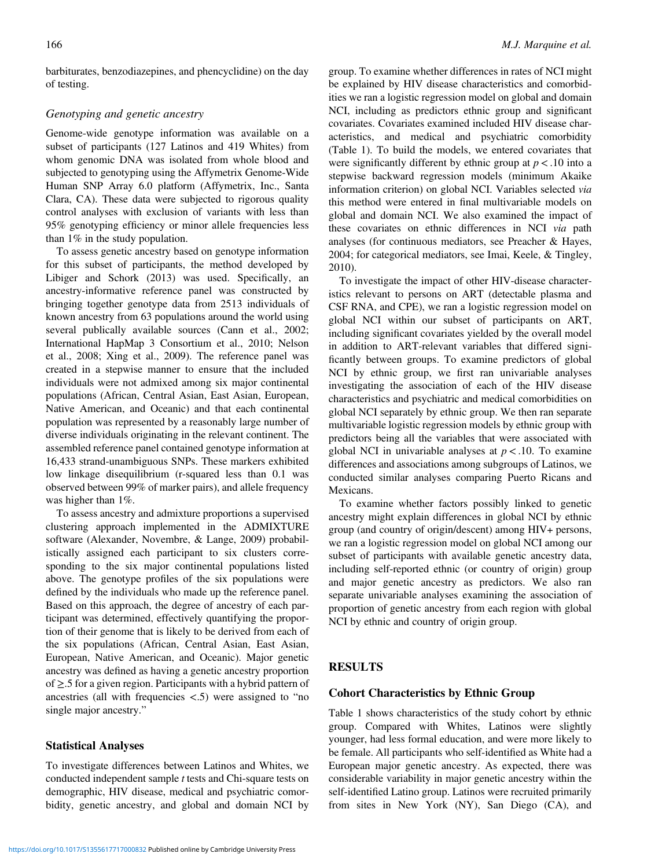barbiturates, benzodiazepines, and phencyclidine) on the day of testing.

# Genotyping and genetic ancestry

Genome-wide genotype information was available on a subset of participants (127 Latinos and 419 Whites) from whom genomic DNA was isolated from whole blood and subjected to genotyping using the Affymetrix Genome-Wide Human SNP Array 6.0 platform (Affymetrix, Inc., Santa Clara, CA). These data were subjected to rigorous quality control analyses with exclusion of variants with less than 95% genotyping efficiency or minor allele frequencies less than 1% in the study population.

To assess genetic ancestry based on genotype information for this subset of participants, the method developed by Libiger and Schork ([2013\)](#page-11-0) was used. Specifically, an ancestry-informative reference panel was constructed by bringing together genotype data from 2513 individuals of known ancestry from 63 populations around the world using several publically available sources (Cann et al., [2002](#page-10-0); International HapMap 3 Consortium et al., [2010](#page-11-0); Nelson et al., [2008;](#page-12-0) Xing et al., [2009\)](#page-12-0). The reference panel was created in a stepwise manner to ensure that the included individuals were not admixed among six major continental populations (African, Central Asian, East Asian, European, Native American, and Oceanic) and that each continental population was represented by a reasonably large number of diverse individuals originating in the relevant continent. The assembled reference panel contained genotype information at 16,433 strand-unambiguous SNPs. These markers exhibited low linkage disequilibrium (r-squared less than 0.1 was observed between 99% of marker pairs), and allele frequency was higher than 1%.

To assess ancestry and admixture proportions a supervised clustering approach implemented in the ADMIXTURE software (Alexander, Novembre, & Lange, [2009](#page-10-0)) probabilistically assigned each participant to six clusters corresponding to the six major continental populations listed above. The genotype profiles of the six populations were defined by the individuals who made up the reference panel. Based on this approach, the degree of ancestry of each participant was determined, effectively quantifying the proportion of their genome that is likely to be derived from each of the six populations (African, Central Asian, East Asian, European, Native American, and Oceanic). Major genetic ancestry was defined as having a genetic ancestry proportion of ≥.5 for a given region. Participants with a hybrid pattern of ancestries (all with frequencies <.5) were assigned to "no single major ancestry."

## Statistical Analyses

To investigate differences between Latinos and Whites, we conducted independent sample *t* tests and Chi-square tests on demographic, HIV disease, medical and psychiatric comorbidity, genetic ancestry, and global and domain NCI by

group. To examine whether differences in rates of NCI might be explained by HIV disease characteristics and comorbidities we ran a logistic regression model on global and domain NCI, including as predictors ethnic group and significant covariates. Covariates examined included HIV disease characteristics, and medical and psychiatric comorbidity [\(Table 1](#page-4-0)). To build the models, we entered covariates that were significantly different by ethnic group at  $p < 0.10$  into a stepwise backward regression models (minimum Akaike information criterion) on global NCI. Variables selected via this method were entered in final multivariable models on global and domain NCI. We also examined the impact of these covariates on ethnic differences in NCI via path analyses (for continuous mediators, see Preacher & Hayes, [2004;](#page-12-0) for categorical mediators, see Imai, Keele, & Tingley, [2010\)](#page-11-0).

To investigate the impact of other HIV-disease characteristics relevant to persons on ART (detectable plasma and CSF RNA, and CPE), we ran a logistic regression model on global NCI within our subset of participants on ART, including significant covariates yielded by the overall model in addition to ART-relevant variables that differed significantly between groups. To examine predictors of global NCI by ethnic group, we first ran univariable analyses investigating the association of each of the HIV disease characteristics and psychiatric and medical comorbidities on global NCI separately by ethnic group. We then ran separate multivariable logistic regression models by ethnic group with predictors being all the variables that were associated with global NCI in univariable analyses at  $p < .10$ . To examine differences and associations among subgroups of Latinos, we conducted similar analyses comparing Puerto Ricans and Mexicans.

To examine whether factors possibly linked to genetic ancestry might explain differences in global NCI by ethnic group (and country of origin/descent) among HIV+ persons, we ran a logistic regression model on global NCI among our subset of participants with available genetic ancestry data, including self-reported ethnic (or country of origin) group and major genetic ancestry as predictors. We also ran separate univariable analyses examining the association of proportion of genetic ancestry from each region with global NCI by ethnic and country of origin group.

# **RESULTS**

## Cohort Characteristics by Ethnic Group

[Table 1](#page-4-0) shows characteristics of the study cohort by ethnic group. Compared with Whites, Latinos were slightly younger, had less formal education, and were more likely to be female. All participants who self-identified as White had a European major genetic ancestry. As expected, there was considerable variability in major genetic ancestry within the self-identified Latino group. Latinos were recruited primarily from sites in New York (NY), San Diego (CA), and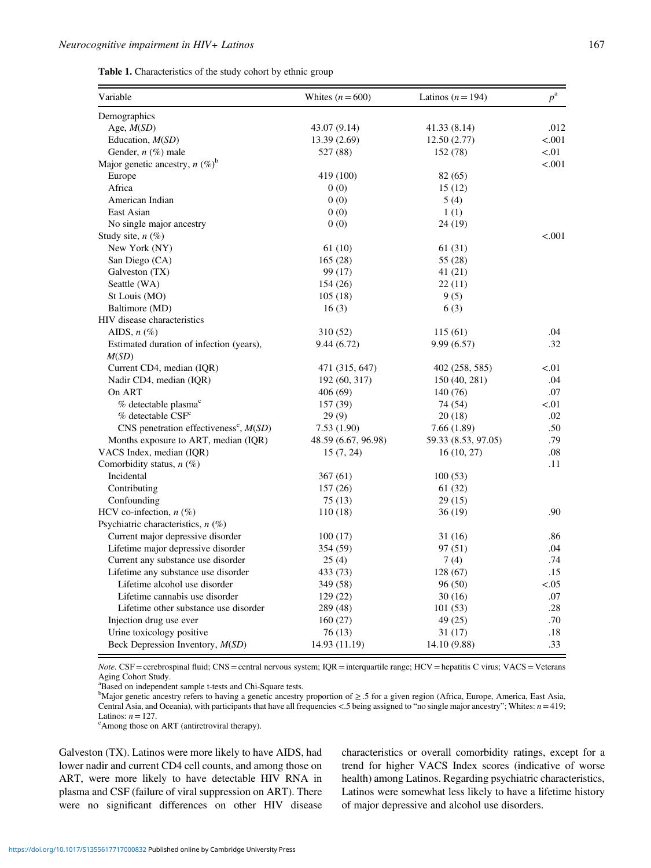<span id="page-4-0"></span>Table 1. Characteristics of the study cohort by ethnic group

| Variable                                             | Whites $(n = 600)$  | Latinos $(n = 194)$ | $p^{\rm a}$ |
|------------------------------------------------------|---------------------|---------------------|-------------|
| Demographics                                         |                     |                     |             |
| Age, $M(SD)$                                         | 43.07 (9.14)        | 41.33 (8.14)        | .012        |
| Education, <i>M(SD)</i>                              | 13.39(2.69)         | 12.50(2.77)         | < .001      |
| Gender, $n$ (%) male                                 | 527 (88)            | 152 (78)            | < 0.01      |
| Major genetic ancestry, $n (\%)^b$                   |                     |                     | < .001      |
| Europe                                               | 419 (100)           | 82 (65)             |             |
| Africa                                               | 0(0)                | 15(12)              |             |
| American Indian                                      | 0(0)                | 5(4)                |             |
| East Asian                                           | 0(0)                | 1(1)                |             |
| No single major ancestry                             | 0(0)                | 24 (19)             |             |
| Study site, $n$ (%)                                  |                     |                     | < 0.01      |
| New York (NY)                                        | 61(10)              | 61 (31)             |             |
| San Diego (CA)                                       | 165(28)             | 55 (28)             |             |
| Galveston (TX)                                       | 99 (17)             | 41(21)              |             |
| Seattle (WA)                                         | 154 (26)            | 22(11)              |             |
| St Louis (MO)                                        | 105(18)             | 9(5)                |             |
| Baltimore (MD)                                       | 16(3)               | 6(3)                |             |
| HIV disease characteristics                          |                     |                     |             |
| AIDS, $n$ $(\%)$                                     | 310 (52)            | 115(61)             | .04         |
| Estimated duration of infection (years),             | 9.44 (6.72)         | 9.99(6.57)          | .32         |
| M(SD)                                                |                     |                     |             |
| Current CD4, median (IQR)                            | 471 (315, 647)      | 402 (258, 585)      | ${<}01$     |
| Nadir CD4, median (IQR)                              | 192 (60, 317)       | 150 (40, 281)       | .04         |
| On ART                                               | 406(69)             | 140 (76)            | .07         |
| % detectable plasma <sup>c</sup>                     | 157 (39)            | 74 (54)             | < 0.01      |
| $%$ detectable $CSFc$                                | 29(9)               | 20(18)              | .02         |
| CNS penetration effectiveness <sup>c</sup> , $M(SD)$ | 7.53(1.90)          | 7.66 (1.89)         | .50         |
| Months exposure to ART, median (IQR)                 | 48.59 (6.67, 96.98) | 59.33 (8.53, 97.05) | .79         |
| VACS Index, median (IQR)                             | 15(7, 24)           | 16(10, 27)          | .08         |
| Comorbidity status, $n$ (%)                          |                     |                     | .11         |
| Incidental                                           | 367(61)             | 100(53)             |             |
| Contributing                                         | 157(26)             | 61 (32)             |             |
| Confounding                                          | 75(13)              | 29(15)              |             |
| HCV co-infection, $n$ (%)                            | 110(18)             | 36(19)              | .90         |
| Psychiatric characteristics, $n$ (%)                 |                     |                     |             |
| Current major depressive disorder                    | 100(17)             | 31 (16)             | .86         |
| Lifetime major depressive disorder                   | 354 (59)            | 97 (51)             | .04         |
| Current any substance use disorder                   | 25(4)               | 7(4)                | .74         |
| Lifetime any substance use disorder                  | 433 (73)            | 128(67)             | .15         |
| Lifetime alcohol use disorder                        | 349 (58)            | 96 (50)             | ${<}.05$    |
| Lifetime cannabis use disorder                       | 129(22)             | 30(16)              | .07         |
| Lifetime other substance use disorder                | 289 (48)            | 101(53)             | .28         |
| Injection drug use ever                              | 160(27)             | 49 (25)             | .70         |
| Urine toxicology positive                            | 76 (13)             | 31 (17)             | $.18\,$     |
| Beck Depression Inventory, $M(SD)$                   | 14.93 (11.19)       | 14.10 (9.88)        | .33         |

Note. CSF = cerebrospinal fluid; CNS = central nervous system; IQR = interquartile range; HCV = hepatitis C virus; VACS = Veterans Aging Cohort Study.

<sup>a</sup>Based on independent sample t-tests and Chi-Square tests.

b Major genetic ancestry refers to having a genetic ancestry proportion of ≥ .5 for a given region (Africa, Europe, America, East Asia, Central Asia, and Oceania), with participants that have all frequencies <.5 being assigned to "no single major ancestry"; Whites: n= 419; Latinos:  $n=127$ .

<sup>c</sup>Among those on ART (antiretroviral therapy).

Galveston (TX). Latinos were more likely to have AIDS, had lower nadir and current CD4 cell counts, and among those on ART, were more likely to have detectable HIV RNA in plasma and CSF (failure of viral suppression on ART). There were no significant differences on other HIV disease characteristics or overall comorbidity ratings, except for a trend for higher VACS Index scores (indicative of worse health) among Latinos. Regarding psychiatric characteristics, Latinos were somewhat less likely to have a lifetime history of major depressive and alcohol use disorders.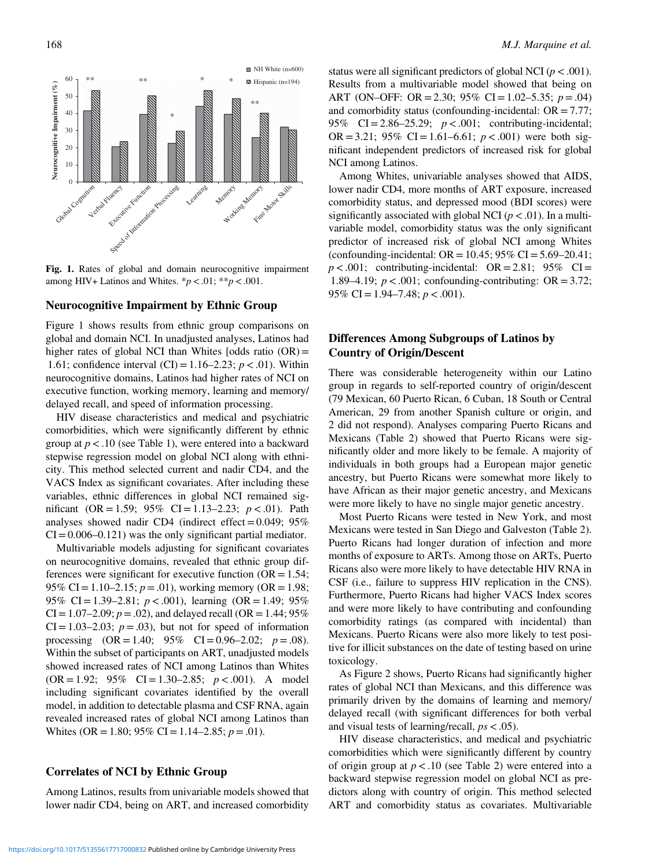

Fig. 1. Rates of global and domain neurocognitive impairment among HIV+ Latinos and Whites.  $* p < .01; ** p < .001$ .

## Neurocognitive Impairment by Ethnic Group

Figure 1 shows results from ethnic group comparisons on global and domain NCI. In unadjusted analyses, Latinos had higher rates of global NCI than Whites [odds ratio  $(OR)$  = 1.61; confidence interval  $(CI) = 1.16-2.23$ ;  $p < .01$ ). Within neurocognitive domains, Latinos had higher rates of NCI on executive function, working memory, learning and memory/ delayed recall, and speed of information processing.

HIV disease characteristics and medical and psychiatric comorbidities, which were significantly different by ethnic group at  $p < 0.10$  (see [Table 1](#page-4-0)), were entered into a backward stepwise regression model on global NCI along with ethnicity. This method selected current and nadir CD4, and the VACS Index as significant covariates. After including these variables, ethnic differences in global NCI remained significant (OR = 1.59; 95% CI = 1.13–2.23;  $p < .01$ ). Path analyses showed nadir CD4 (indirect effect  $= 0.049$ ; 95%  $CI = 0.006 - 0.121$  was the only significant partial mediator.

Multivariable models adjusting for significant covariates on neurocognitive domains, revealed that ethnic group differences were significant for executive function  $(OR = 1.54;$ 95% CI = 1.10–2.15;  $p = .01$ ), working memory (OR = 1.98; 95% CI = 1.39–2.81;  $p < .001$ ), learning (OR = 1.49; 95%)  $CI = 1.07-2.09$ ;  $p = .02$ ), and delayed recall (OR = 1.44; 95%)  $CI = 1.03-2.03$ ;  $p = .03$ ), but not for speed of information processing  $(OR = 1.40; 95\% \text{ CI} = 0.96-2.02; p = .08).$ Within the subset of participants on ART, unadjusted models showed increased rates of NCI among Latinos than Whites  $(OR = 1.92; 95\% \text{ CI} = 1.30-2.85; p < .001)$ . A model including significant covariates identified by the overall model, in addition to detectable plasma and CSF RNA, again revealed increased rates of global NCI among Latinos than Whites (OR = 1.80; 95% CI = 1.14–2.85;  $p = .01$ ).

## Correlates of NCI by Ethnic Group

Among Latinos, results from univariable models showed that lower nadir CD4, being on ART, and increased comorbidity

status were all significant predictors of global NCI ( $p < .001$ ). Results from a multivariable model showed that being on ART (ON–OFF: OR = 2.30; 95% CI = 1.02–5.35;  $p = .04$ ) and comorbidity status (confounding-incidental:  $OR = 7.77$ ; 95% CI = 2.86–25.29;  $p < .001$ ; contributing-incidental; OR = 3.21; 95% CI = 1.61–6.61;  $p < .001$ ) were both significant independent predictors of increased risk for global NCI among Latinos.

Among Whites, univariable analyses showed that AIDS, lower nadir CD4, more months of ART exposure, increased comorbidity status, and depressed mood (BDI scores) were significantly associated with global NCI ( $p < .01$ ). In a multivariable model, comorbidity status was the only significant predictor of increased risk of global NCI among Whites (confounding-incidental:  $OR = 10.45$ ; 95%  $CI = 5.69 - 20.41$ ;  $p < .001$ ; contributing-incidental: OR = 2.81; 95% CI = 1.89–4.19;  $p < .001$ ; confounding-contributing: OR = 3.72; 95% CI = 1.94–7.48;  $p < .001$ ).

# Differences Among Subgroups of Latinos by Country of Origin/Descent

There was considerable heterogeneity within our Latino group in regards to self-reported country of origin/descent (79 Mexican, 60 Puerto Rican, 6 Cuban, 18 South or Central American, 29 from another Spanish culture or origin, and 2 did not respond). Analyses comparing Puerto Ricans and Mexicans [\(Table 2](#page-6-0)) showed that Puerto Ricans were significantly older and more likely to be female. A majority of individuals in both groups had a European major genetic ancestry, but Puerto Ricans were somewhat more likely to have African as their major genetic ancestry, and Mexicans were more likely to have no single major genetic ancestry.

Most Puerto Ricans were tested in New York, and most Mexicans were tested in San Diego and Galveston [\(Table 2](#page-6-0)). Puerto Ricans had longer duration of infection and more months of exposure to ARTs. Among those on ARTs, Puerto Ricans also were more likely to have detectable HIV RNA in CSF (i.e., failure to suppress HIV replication in the CNS). Furthermore, Puerto Ricans had higher VACS Index scores and were more likely to have contributing and confounding comorbidity ratings (as compared with incidental) than Mexicans. Puerto Ricans were also more likely to test positive for illicit substances on the date of testing based on urine toxicology.

As [Figure 2](#page-7-0) shows, Puerto Ricans had significantly higher rates of global NCI than Mexicans, and this difference was primarily driven by the domains of learning and memory/ delayed recall (with significant differences for both verbal and visual tests of learning/recall,  $ps < .05$ ).

HIV disease characteristics, and medical and psychiatric comorbidities which were significantly different by country of origin group at  $p < 0.10$  (see [Table 2\)](#page-6-0) were entered into a backward stepwise regression model on global NCI as predictors along with country of origin. This method selected ART and comorbidity status as covariates. Multivariable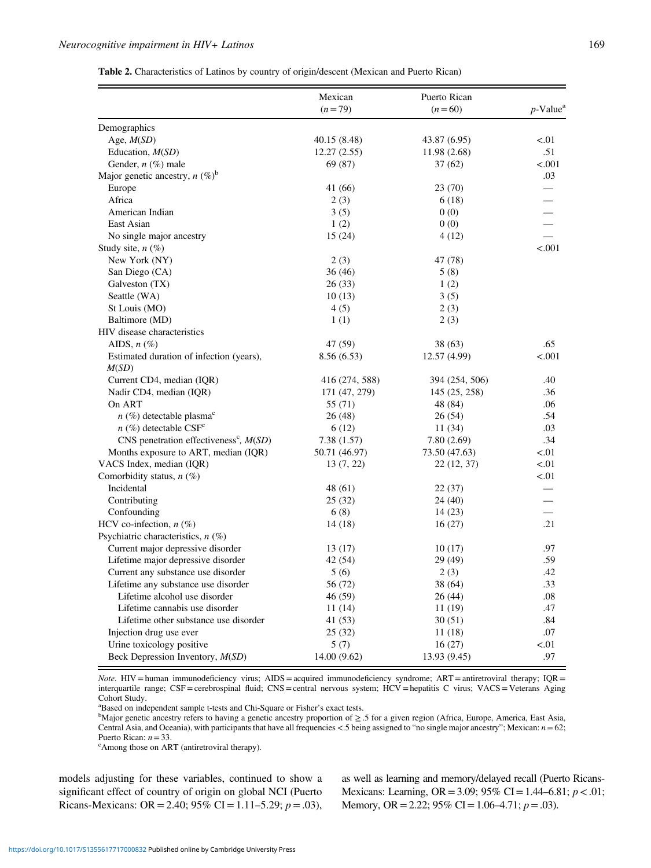<span id="page-6-0"></span>

|                                                      | Mexican<br>$(n=79)$ | Puerto Rican<br>$(n=60)$ | $p$ -Value <sup>a</sup> |
|------------------------------------------------------|---------------------|--------------------------|-------------------------|
|                                                      |                     |                          |                         |
| Demographics                                         |                     |                          |                         |
| Age, $M(SD)$                                         | 40.15 (8.48)        | 43.87 (6.95)             | < 0.01                  |
| Education, M(SD)                                     | 12.27(2.55)         | 11.98 (2.68)             | .51                     |
| Gender, $n$ (%) male                                 | 69 (87)             | 37(62)                   | < .001                  |
| Major genetic ancestry, $n (\%)^b$                   |                     |                          | .03                     |
| Europe                                               | 41 (66)             | 23 (70)                  |                         |
| Africa                                               | 2(3)                | 6(18)                    |                         |
| American Indian                                      | 3(5)                | 0(0)                     |                         |
| East Asian                                           | 1(2)                | 0(0)                     | $\frac{1}{1}$           |
| No single major ancestry                             | 15(24)              | 4(12)                    |                         |
| Study site, $n$ (%)                                  |                     |                          | < .001                  |
| New York (NY)                                        | 2(3)                | 47 (78)                  |                         |
| San Diego (CA)                                       | 36(46)              | 5(8)                     |                         |
| Galveston (TX)                                       | 26(33)              | 1(2)                     |                         |
| Seattle (WA)                                         | 10(13)              | 3(5)                     |                         |
| St Louis (MO)                                        | 4(5)                | 2(3)                     |                         |
| Baltimore (MD)                                       | 1(1)                | 2(3)                     |                         |
| HIV disease characteristics                          |                     |                          |                         |
| AIDS, $n$ $(\%)$                                     | 47 (59)             | 38(63)                   | .65                     |
| Estimated duration of infection (years),             | 8.56(6.53)          | 12.57 (4.99)             | < .001                  |
| M(SD)                                                |                     |                          |                         |
| Current CD4, median (IQR)                            | 416 (274, 588)      | 394 (254, 506)           | .40                     |
| Nadir CD4, median (IQR)                              | 171 (47, 279)       | 145 (25, 258)            | .36                     |
| On ART                                               | 55 (71)             | 48 (84)                  | .06                     |
| $n$ (%) detectable plasma <sup>c</sup>               | 26(48)              | 26(54)                   | .54                     |
| $n$ (%) detectable CSF <sup>c</sup>                  | 6(12)               | 11(34)                   | .03                     |
| CNS penetration effectiveness <sup>c</sup> , $M(SD)$ | 7.38 (1.57)         | 7.80(2.69)               | .34                     |
| Months exposure to ART, median (IQR)                 | 50.71 (46.97)       | 73.50 (47.63)            | < 01                    |
| VACS Index, median (IQR)                             | 13(7, 22)           | 22 (12, 37)              | < 01                    |
| Comorbidity status, $n$ (%)                          |                     |                          | < 01                    |
| Incidental                                           | 48 (61)             | 22(37)                   |                         |
| Contributing                                         | 25(32)              | 24 (40)                  |                         |
| Confounding                                          | 6(8)                | 14(23)                   |                         |
| HCV co-infection, $n$ (%)                            | 14(18)              | 16(27)                   | .21                     |
| Psychiatric characteristics, $n$ (%)                 |                     |                          |                         |
| Current major depressive disorder                    | 13(17)              | 10(17)                   | .97                     |
| Lifetime major depressive disorder                   | 42 (54)             | 29 (49)                  | .59                     |
| Current any substance use disorder                   | 5(6)                | 2(3)                     | .42                     |
| Lifetime any substance use disorder                  | 56 (72)             | 38 (64)                  | .33                     |
| Lifetime alcohol use disorder                        | 46 (59)             | 26(44)                   | .08                     |
| Lifetime cannabis use disorder                       | 11(14)              | 11(19)                   | .47                     |
| Lifetime other substance use disorder                | 41 (53)             | 30(51)                   | .84                     |
| Injection drug use ever                              | 25(32)              | 11(18)                   | .07                     |
| Urine toxicology positive                            | 5(7)                | 16(27)                   | < 01                    |
| Beck Depression Inventory, M(SD)                     | 14.00 (9.62)        | 13.93 (9.45)             | .97                     |

Note. HIV = human immunodeficiency virus; AIDS = acquired immunodeficiency syndrome; ART = antiretroviral therapy; IQR = interquartile range; CSF=cerebrospinal fluid; CNS=central nervous system; HCV=hepatitis C virus; VACS=Veterans Aging Cohort Study.

<sup>a</sup>Based on independent sample t-tests and Chi-Square or Fisher's exact tests.

Major genetic ancestry refers to having a genetic ancestry proportion of ≥ .5 for a given region (Africa, Europe, America, East Asia, Central Asia, and Oceania), with participants that have all frequencies <.5 being assigned to "no single major ancestry"; Mexican: n= 62; Puerto Rican:  $n=33$ .

Among those on ART (antiretroviral therapy).

models adjusting for these variables, continued to show a significant effect of country of origin on global NCI (Puerto Ricans-Mexicans: OR = 2.40; 95% CI = 1.11–5.29;  $p = .03$ ), as well as learning and memory/delayed recall (Puerto Ricans-Mexicans: Learning, OR = 3.09; 95% CI = 1.44–6.81;  $p < .01$ ; Memory, OR = 2.22; 95% CI = 1.06–4.71;  $p = .03$ ).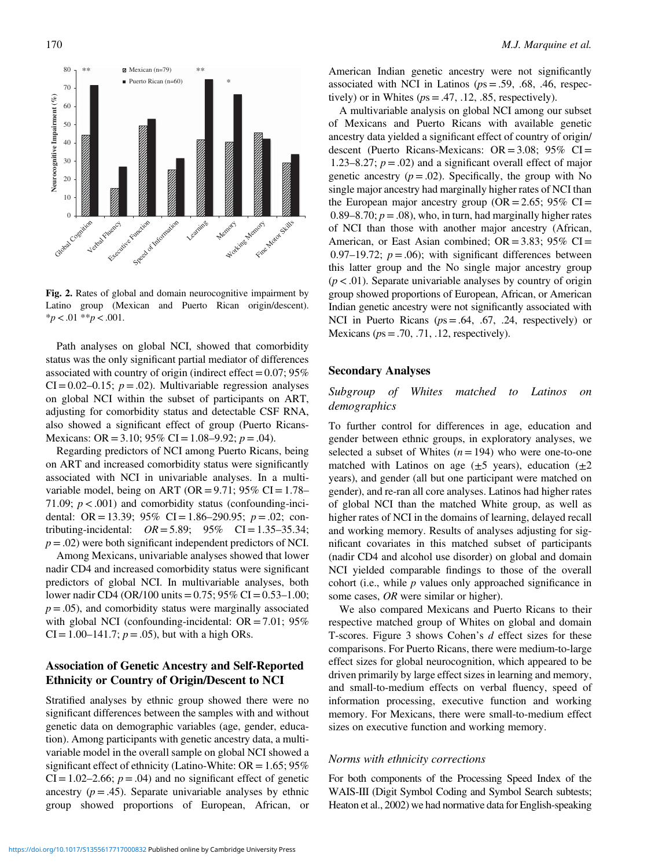<span id="page-7-0"></span>

Fig. 2. Rates of global and domain neurocognitive impairment by Latino group (Mexican and Puerto Rican origin/descent).  $**p* < .01$   $**p* < .001$ .

Path analyses on global NCI, showed that comorbidity status was the only significant partial mediator of differences associated with country of origin (indirect effect  $=0.07; 95\%$  $CI = 0.02 - 0.15$ ;  $p = .02$ ). Multivariable regression analyses on global NCI within the subset of participants on ART, adjusting for comorbidity status and detectable CSF RNA, also showed a significant effect of group (Puerto Ricans-Mexicans: OR = 3.10; 95% CI = 1.08–9.92;  $p = .04$ ).

Regarding predictors of NCI among Puerto Ricans, being on ART and increased comorbidity status were significantly associated with NCI in univariable analyses. In a multivariable model, being on ART (OR =  $9.71$ ;  $95\%$  CI =  $1.78-$ 71.09;  $p < .001$ ) and comorbidity status (confounding-incidental: OR = 13.39; 95% CI = 1.86–290.95;  $p = .02$ ; contributing-incidental:  $OR = 5.89; 95\% \text{ CI} = 1.35-35.34;$  $p = .02$ ) were both significant independent predictors of NCI.

Among Mexicans, univariable analyses showed that lower nadir CD4 and increased comorbidity status were significant predictors of global NCI. In multivariable analyses, both lower nadir CD4 (OR/100 units =  $0.75$ ; 95% CI =  $0.53-1.00$ ;  $p = .05$ ), and comorbidity status were marginally associated with global NCI (confounding-incidental:  $OR = 7.01$ ; 95%  $CI = 1.00-141.7$ ;  $p = .05$ ), but with a high ORs.

# Association of Genetic Ancestry and Self-Reported Ethnicity or Country of Origin/Descent to NCI

Stratified analyses by ethnic group showed there were no significant differences between the samples with and without genetic data on demographic variables (age, gender, education). Among participants with genetic ancestry data, a multivariable model in the overall sample on global NCI showed a significant effect of ethnicity (Latino-White:  $OR = 1.65$ ; 95%  $CI = 1.02-2.66$ ;  $p = .04$ ) and no significant effect of genetic ancestry  $(p = .45)$ . Separate univariable analyses by ethnic group showed proportions of European, African, or

American Indian genetic ancestry were not significantly associated with NCI in Latinos ( $ps = .59, .68, .46,$  respectively) or in Whites ( $ps = .47, .12, .85$ , respectively).

A multivariable analysis on global NCI among our subset of Mexicans and Puerto Ricans with available genetic ancestry data yielded a significant effect of country of origin/ descent (Puerto Ricans-Mexicans:  $OR = 3.08$ ;  $95\%$  CI = 1.23–8.27;  $p = .02$ ) and a significant overall effect of major genetic ancestry  $(p = .02)$ . Specifically, the group with No single major ancestry had marginally higher rates of NCI than the European major ancestry group ( $OR = 2.65$ ; 95%  $CI =$ 0.89–8.70;  $p = .08$ ), who, in turn, had marginally higher rates of NCI than those with another major ancestry (African, American, or East Asian combined;  $OR = 3.83$ ; 95%  $CI =$ 0.97–19.72;  $p = .06$ ; with significant differences between this latter group and the No single major ancestry group  $(p < .01)$ . Separate univariable analyses by country of origin group showed proportions of European, African, or American Indian genetic ancestry were not significantly associated with NCI in Puerto Ricans ( $ps = .64, .67, .24$ , respectively) or Mexicans ( $ps = .70, .71, .12$ , respectively).

## Secondary Analyses

# Subgroup of Whites matched to Latinos on demographics

To further control for differences in age, education and gender between ethnic groups, in exploratory analyses, we selected a subset of Whites  $(n = 194)$  who were one-to-one matched with Latinos on age  $(\pm 5 \text{ years})$ , education  $(\pm 2 \text{ year})$ years), and gender (all but one participant were matched on gender), and re-ran all core analyses. Latinos had higher rates of global NCI than the matched White group, as well as higher rates of NCI in the domains of learning, delayed recall and working memory. Results of analyses adjusting for significant covariates in this matched subset of participants (nadir CD4 and alcohol use disorder) on global and domain NCI yielded comparable findings to those of the overall cohort (i.e., while  $p$  values only approached significance in some cases, OR were similar or higher).

We also compared Mexicans and Puerto Ricans to their respective matched group of Whites on global and domain T-scores. [Figure 3](#page-8-0) shows Cohen's d effect sizes for these comparisons. For Puerto Ricans, there were medium-to-large effect sizes for global neurocognition, which appeared to be driven primarily by large effect sizes in learning and memory, and small-to-medium effects on verbal fluency, speed of information processing, executive function and working memory. For Mexicans, there were small-to-medium effect sizes on executive function and working memory.

## Norms with ethnicity corrections

For both components of the Processing Speed Index of the WAIS-III (Digit Symbol Coding and Symbol Search subtests; Heaton et al., [2002](#page-11-0)) we had normative data for English-speaking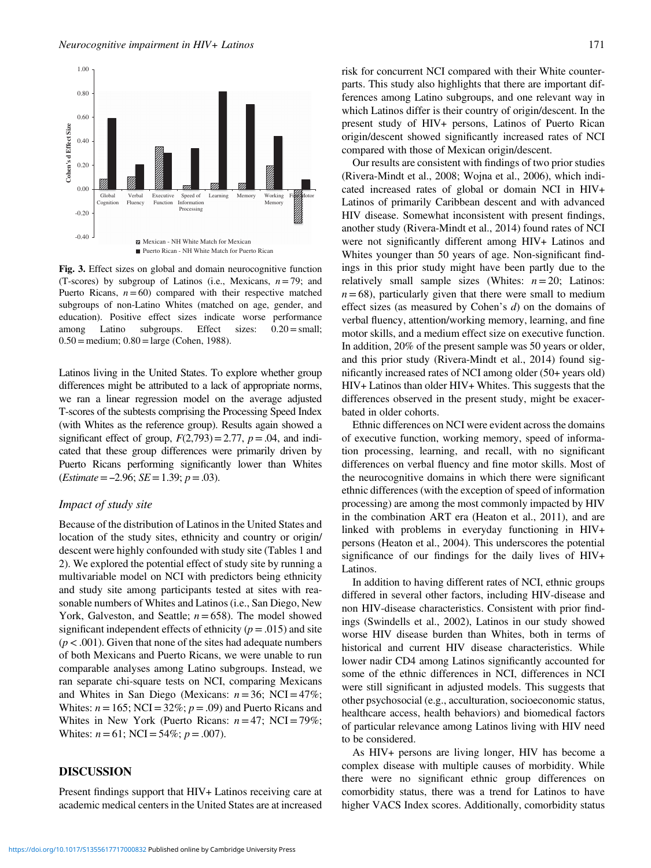<span id="page-8-0"></span>

Fig. 3. Effect sizes on global and domain neurocognitive function (T-scores) by subgroup of Latinos (i.e., Mexicans,  $n = 79$ ; and Puerto Ricans,  $n = 60$ ) compared with their respective matched subgroups of non-Latino Whites (matched on age, gender, and education). Positive effect sizes indicate worse performance among Latino subgroups. Effect sizes: 0.20=small;  $0.50 =$  medium;  $0.80 =$ large (Cohen, [1988](#page-10-0)).

Latinos living in the United States. To explore whether group differences might be attributed to a lack of appropriate norms, we ran a linear regression model on the average adjusted T-scores of the subtests comprising the Processing Speed Index (with Whites as the reference group). Results again showed a significant effect of group,  $F(2,793) = 2.77$ ,  $p = .04$ , and indicated that these group differences were primarily driven by Puerto Ricans performing significantly lower than Whites significant effect of group,  $F(2, 995)$  =<br>cated that these group differences w<br>Puerto Ricans performing significan<br>(*Estimate* = -2.96; *SE* = 1.39; *p* = .03).

## Impact of study site

Because of the distribution of Latinos in the United States and location of the study sites, ethnicity and country or origin/ descent were highly confounded with study site [\(Tables 1](#page-4-0) and [2\)](#page-6-0). We explored the potential effect of study site by running a multivariable model on NCI with predictors being ethnicity and study site among participants tested at sites with reasonable numbers of Whites and Latinos (i.e., San Diego, New York, Galveston, and Seattle;  $n = 658$ ). The model showed significant independent effects of ethnicity ( $p = .015$ ) and site  $(p < .001)$ . Given that none of the sites had adequate numbers of both Mexicans and Puerto Ricans, we were unable to run comparable analyses among Latino subgroups. Instead, we ran separate chi-square tests on NCI, comparing Mexicans and Whites in San Diego (Mexicans:  $n = 36$ ; NCI = 47%; Whites:  $n = 165$ ; NCI = 32%;  $p = .09$ ) and Puerto Ricans and Whites in New York (Puerto Ricans:  $n = 47$ ; NCI = 79%; Whites:  $n = 61$ ; NCI = 54%;  $p = .007$ ).

## DISCUSSION

Present findings support that HIV+ Latinos receiving care at academic medical centers in the United States are at increased

risk for concurrent NCI compared with their White counterparts. This study also highlights that there are important differences among Latino subgroups, and one relevant way in which Latinos differ is their country of origin/descent. In the present study of HIV+ persons, Latinos of Puerto Rican origin/descent showed significantly increased rates of NCI compared with those of Mexican origin/descent.

Our results are consistent with findings of two prior studies (Rivera-Mindt et al., [2008;](#page-12-0) Wojna et al., [2006](#page-12-0)), which indicated increased rates of global or domain NCI in HIV+ Latinos of primarily Caribbean descent and with advanced HIV disease. Somewhat inconsistent with present findings, another study (Rivera-Mindt et al., [2014\)](#page-12-0) found rates of NCI were not significantly different among HIV+ Latinos and Whites younger than 50 years of age. Non-significant findings in this prior study might have been partly due to the relatively small sample sizes (Whites:  $n = 20$ ; Latinos:  $n = 68$ ), particularly given that there were small to medium effect sizes (as measured by Cohen's  $d$ ) on the domains of verbal fluency, attention/working memory, learning, and fine motor skills, and a medium effect size on executive function. In addition, 20% of the present sample was 50 years or older, and this prior study (Rivera-Mindt et al., [2014](#page-12-0)) found significantly increased rates of NCI among older (50+ years old) HIV+ Latinos than older HIV+ Whites. This suggests that the differences observed in the present study, might be exacerbated in older cohorts.

Ethnic differences on NCI were evident across the domains of executive function, working memory, speed of information processing, learning, and recall, with no significant differences on verbal fluency and fine motor skills. Most of the neurocognitive domains in which there were significant ethnic differences (with the exception of speed of information processing) are among the most commonly impacted by HIV in the combination ART era (Heaton et al., [2011\)](#page-11-0), and are linked with problems in everyday functioning in HIV+ persons (Heaton et al., [2004\)](#page-11-0). This underscores the potential significance of our findings for the daily lives of HIV+ Latinos.

In addition to having different rates of NCI, ethnic groups differed in several other factors, including HIV-disease and non HIV-disease characteristics. Consistent with prior findings (Swindells et al., [2002\)](#page-12-0), Latinos in our study showed worse HIV disease burden than Whites, both in terms of historical and current HIV disease characteristics. While lower nadir CD4 among Latinos significantly accounted for some of the ethnic differences in NCI, differences in NCI were still significant in adjusted models. This suggests that other psychosocial (e.g., acculturation, socioeconomic status, healthcare access, health behaviors) and biomedical factors of particular relevance among Latinos living with HIV need to be considered.

As HIV+ persons are living longer, HIV has become a complex disease with multiple causes of morbidity. While there were no significant ethnic group differences on comorbidity status, there was a trend for Latinos to have higher VACS Index scores. Additionally, comorbidity status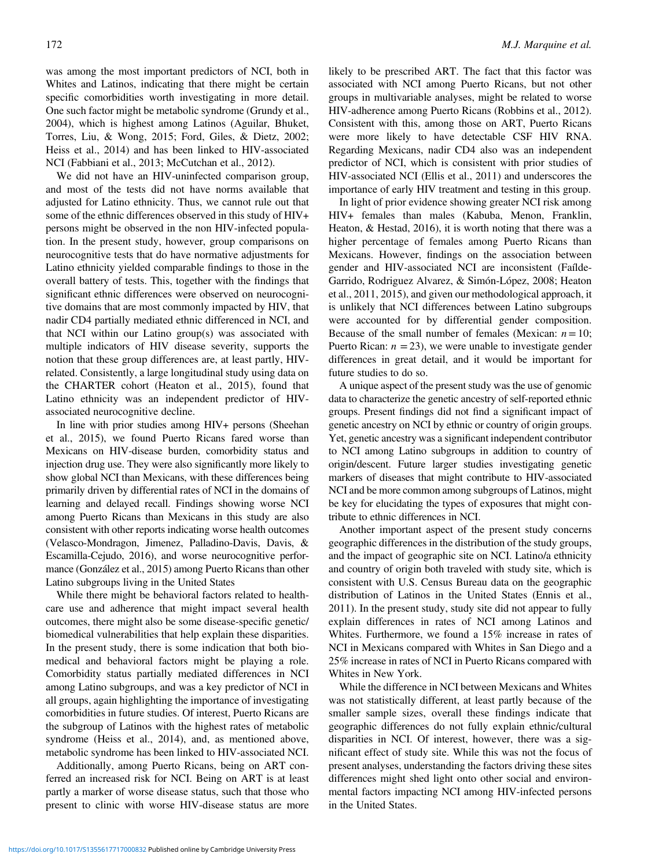was among the most important predictors of NCI, both in Whites and Latinos, indicating that there might be certain specific comorbidities worth investigating in more detail. One such factor might be metabolic syndrome (Grundy et al., [2004\)](#page-11-0), which is highest among Latinos (Aguilar, Bhuket, Torres, Liu, & Wong, [2015](#page-10-0); Ford, Giles, & Dietz, [2002](#page-11-0); Heiss et al., [2014\)](#page-11-0) and has been linked to HIV-associated NCI (Fabbiani et al., [2013;](#page-11-0) McCutchan et al., [2012](#page-12-0)).

We did not have an HIV-uninfected comparison group, and most of the tests did not have norms available that adjusted for Latino ethnicity. Thus, we cannot rule out that some of the ethnic differences observed in this study of HIV+ persons might be observed in the non HIV-infected population. In the present study, however, group comparisons on neurocognitive tests that do have normative adjustments for Latino ethnicity yielded comparable findings to those in the overall battery of tests. This, together with the findings that significant ethnic differences were observed on neurocognitive domains that are most commonly impacted by HIV, that nadir CD4 partially mediated ethnic differenced in NCI, and that NCI within our Latino group(s) was associated with multiple indicators of HIV disease severity, supports the notion that these group differences are, at least partly, HIVrelated. Consistently, a large longitudinal study using data on the CHARTER cohort (Heaton et al., [2015\)](#page-11-0), found that Latino ethnicity was an independent predictor of HIVassociated neurocognitive decline.

In line with prior studies among HIV+ persons (Sheehan et al., [2015](#page-12-0)), we found Puerto Ricans fared worse than Mexicans on HIV-disease burden, comorbidity status and injection drug use. They were also significantly more likely to show global NCI than Mexicans, with these differences being primarily driven by differential rates of NCI in the domains of learning and delayed recall. Findings showing worse NCI among Puerto Ricans than Mexicans in this study are also consistent with other reports indicating worse health outcomes (Velasco-Mondragon, Jimenez, Palladino-Davis, Davis, & Escamilla-Cejudo, [2016](#page-12-0)), and worse neurocognitive performance (González et al., [2015](#page-11-0)) among Puerto Ricans than other Latino subgroups living in the United States

While there might be behavioral factors related to healthcare use and adherence that might impact several health outcomes, there might also be some disease-specific genetic/ biomedical vulnerabilities that help explain these disparities. In the present study, there is some indication that both biomedical and behavioral factors might be playing a role. Comorbidity status partially mediated differences in NCI among Latino subgroups, and was a key predictor of NCI in all groups, again highlighting the importance of investigating comorbidities in future studies. Of interest, Puerto Ricans are the subgroup of Latinos with the highest rates of metabolic syndrome (Heiss et al., [2014](#page-11-0)), and, as mentioned above, metabolic syndrome has been linked to HIV-associated NCI.

Additionally, among Puerto Ricans, being on ART conferred an increased risk for NCI. Being on ART is at least partly a marker of worse disease status, such that those who present to clinic with worse HIV-disease status are more

likely to be prescribed ART. The fact that this factor was associated with NCI among Puerto Ricans, but not other groups in multivariable analyses, might be related to worse HIV-adherence among Puerto Ricans (Robbins et al., [2012](#page-12-0)). Consistent with this, among those on ART, Puerto Ricans were more likely to have detectable CSF HIV RNA. Regarding Mexicans, nadir CD4 also was an independent predictor of NCI, which is consistent with prior studies of HIV-associated NCI (Ellis et al., [2011\)](#page-11-0) and underscores the importance of early HIV treatment and testing in this group.

In light of prior evidence showing greater NCI risk among HIV+ females than males (Kabuba, Menon, Franklin, Heaton, & Hestad, [2016](#page-11-0)), it is worth noting that there was a higher percentage of females among Puerto Ricans than Mexicans. However, findings on the association between gender and HIV-associated NCI are inconsistent (Faílde-Garrido, Rodriguez Alvarez, & Simón-López, [2008;](#page-11-0) Heaton et al., [2011, 2015](#page-11-0)), and given our methodological approach, it is unlikely that NCI differences between Latino subgroups were accounted for by differential gender composition. Because of the small number of females (Mexican:  $n = 10$ ; Puerto Rican:  $n = 23$ ), we were unable to investigate gender differences in great detail, and it would be important for future studies to do so.

A unique aspect of the present study was the use of genomic data to characterize the genetic ancestry of self-reported ethnic groups. Present findings did not find a significant impact of genetic ancestry on NCI by ethnic or country of origin groups. Yet, genetic ancestry was a significant independent contributor to NCI among Latino subgroups in addition to country of origin/descent. Future larger studies investigating genetic markers of diseases that might contribute to HIV-associated NCI and be more common among subgroups of Latinos, might be key for elucidating the types of exposures that might contribute to ethnic differences in NCI.

Another important aspect of the present study concerns geographic differences in the distribution of the study groups, and the impact of geographic site on NCI. Latino/a ethnicity and country of origin both traveled with study site, which is consistent with U.S. Census Bureau data on the geographic distribution of Latinos in the United States (Ennis et al., [2011\)](#page-11-0). In the present study, study site did not appear to fully explain differences in rates of NCI among Latinos and Whites. Furthermore, we found a 15% increase in rates of NCI in Mexicans compared with Whites in San Diego and a 25% increase in rates of NCI in Puerto Ricans compared with Whites in New York.

While the difference in NCI between Mexicans and Whites was not statistically different, at least partly because of the smaller sample sizes, overall these findings indicate that geographic differences do not fully explain ethnic/cultural disparities in NCI. Of interest, however, there was a significant effect of study site. While this was not the focus of present analyses, understanding the factors driving these sites differences might shed light onto other social and environmental factors impacting NCI among HIV-infected persons in the United States.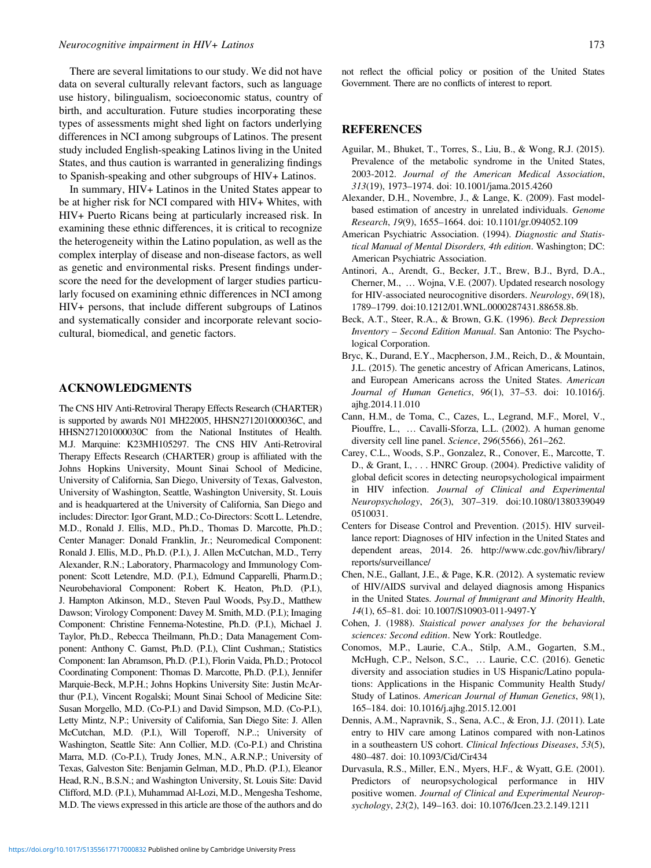<span id="page-10-0"></span>There are several limitations to our study. We did not have data on several culturally relevant factors, such as language use history, bilingualism, socioeconomic status, country of birth, and acculturation. Future studies incorporating these types of assessments might shed light on factors underlying differences in NCI among subgroups of Latinos. The present study included English-speaking Latinos living in the United States, and thus caution is warranted in generalizing findings to Spanish-speaking and other subgroups of HIV+ Latinos.

In summary, HIV+ Latinos in the United States appear to be at higher risk for NCI compared with HIV+ Whites, with HIV+ Puerto Ricans being at particularly increased risk. In examining these ethnic differences, it is critical to recognize the heterogeneity within the Latino population, as well as the complex interplay of disease and non-disease factors, as well as genetic and environmental risks. Present findings underscore the need for the development of larger studies particularly focused on examining ethnic differences in NCI among HIV+ persons, that include different subgroups of Latinos and systematically consider and incorporate relevant sociocultural, biomedical, and genetic factors.

## ACKNOWLEDGMENTS

The CNS HIV Anti-Retroviral Therapy Effects Research (CHARTER) is supported by awards N01 MH22005, HHSN271201000036C, and HHSN271201000030C from the National Institutes of Health. M.J. Marquine: K23MH105297. The CNS HIV Anti-Retroviral Therapy Effects Research (CHARTER) group is affiliated with the Johns Hopkins University, Mount Sinai School of Medicine, University of California, San Diego, University of Texas, Galveston, University of Washington, Seattle, Washington University, St. Louis and is headquartered at the University of California, San Diego and includes: Director: Igor Grant, M.D.; Co-Directors: Scott L. Letendre, M.D., Ronald J. Ellis, M.D., Ph.D., Thomas D. Marcotte, Ph.D.; Center Manager: Donald Franklin, Jr.; Neuromedical Component: Ronald J. Ellis, M.D., Ph.D. (P.I.), J. Allen McCutchan, M.D., Terry Alexander, R.N.; Laboratory, Pharmacology and Immunology Component: Scott Letendre, M.D. (P.I.), Edmund Capparelli, Pharm.D.; Neurobehavioral Component: Robert K. Heaton, Ph.D. (P.I.), J. Hampton Atkinson, M.D., Steven Paul Woods, Psy.D., Matthew Dawson; Virology Component: Davey M. Smith, M.D. (P.I.); Imaging Component: Christine Fennema-Notestine, Ph.D. (P.I.), Michael J. Taylor, Ph.D., Rebecca Theilmann, Ph.D.; Data Management Component: Anthony C. Gamst, Ph.D. (P.I.), Clint Cushman,; Statistics Component: Ian Abramson, Ph.D. (P.I.), Florin Vaida, Ph.D.; Protocol Coordinating Component: Thomas D. Marcotte, Ph.D. (P.I.), Jennifer Marquie-Beck, M.P.H.; Johns Hopkins University Site: Justin McArthur (P.I.), Vincent Rogalski; Mount Sinai School of Medicine Site: Susan Morgello, M.D. (Co-P.I.) and David Simpson, M.D. (Co-P.I.), Letty Mintz, N.P.; University of California, San Diego Site: J. Allen McCutchan, M.D. (P.I.), Will Toperoff, N.P..; University of Washington, Seattle Site: Ann Collier, M.D. (Co-P.I.) and Christina Marra, M.D. (Co-P.I.), Trudy Jones, M.N., A.R.N.P.; University of Texas, Galveston Site: Benjamin Gelman, M.D., Ph.D. (P.I.), Eleanor Head, R.N., B.S.N.; and Washington University, St. Louis Site: David Clifford, M.D. (P.I.), Muhammad Al-Lozi, M.D., Mengesha Teshome, M.D. The views expressed in this article are those of the authors and do

not reflect the official policy or position of the United States Government. There are no conflicts of interest to report.

## **REFERENCES**

- Aguilar, M., Bhuket, T., Torres, S., Liu, B., & Wong, R.J. (2015). Prevalence of the metabolic syndrome in the United States, 2003-2012. Journal of the American Medical Association, 313(19), 1973–1974. doi: 10.1001/jama.2015.4260
- Alexander, D.H., Novembre, J., & Lange, K. (2009). Fast modelbased estimation of ancestry in unrelated individuals. Genome Research, 19(9), 1655–1664. doi: 10.1101/gr.094052.109
- American Psychiatric Association. (1994). Diagnostic and Statistical Manual of Mental Disorders, 4th edition. Washington; DC: American Psychiatric Association.
- Antinori, A., Arendt, G., Becker, J.T., Brew, B.J., Byrd, D.A., Cherner, M., … Wojna, V.E. (2007). Updated research nosology for HIV-associated neurocognitive disorders. Neurology, 69(18), 1789–1799. doi:10.1212/01.WNL.0000287431.88658.8b.
- Beck, A.T., Steer, R.A., & Brown, G.K. (1996). Beck Depression Inventory – Second Edition Manual. San Antonio: The Psychological Corporation.
- Bryc, K., Durand, E.Y., Macpherson, J.M., Reich, D., & Mountain, J.L. (2015). The genetic ancestry of African Americans, Latinos, and European Americans across the United States. American Journal of Human Genetics, 96(1), 37–53. doi: 10.1016/j. ajhg.2014.11.010
- Cann, H.M., de Toma, C., Cazes, L., Legrand, M.F., Morel, V., Piouffre, L., … Cavalli-Sforza, L.L. (2002). A human genome diversity cell line panel. Science, 296(5566), 261-262.
- Carey, C.L., Woods, S.P., Gonzalez, R., Conover, E., Marcotte, T. D., & Grant, I., . . . HNRC Group. (2004). Predictive validity of global deficit scores in detecting neuropsychological impairment in HIV infection. Journal of Clinical and Experimental Neuropsychology, 26(3), 307–319. doi:10.1080/1380339049 0510031.
- Centers for Disease Control and Prevention. (2015). HIV surveillance report: Diagnoses of HIV infection in the United States and dependent areas, 2014. 26. [http://www.cdc.gov/hiv/library/](http://www.cdc.gov/hiv/library/reports/surveillance/) [reports/surveillance/](http://www.cdc.gov/hiv/library/reports/surveillance/)
- Chen, N.E., Gallant, J.E., & Page, K.R. (2012). A systematic review of HIV/AIDS survival and delayed diagnosis among Hispanics in the United States. Journal of Immigrant and Minority Health, 14(1), 65–81. doi: 10.1007/S10903-011-9497-Y
- Cohen, J. (1988). Staistical power analyses for the behavioral sciences: Second edition. New York: Routledge.
- Conomos, M.P., Laurie, C.A., Stilp, A.M., Gogarten, S.M., McHugh, C.P., Nelson, S.C., … Laurie, C.C. (2016). Genetic diversity and association studies in US Hispanic/Latino populations: Applications in the Hispanic Community Health Study/ Study of Latinos. American Journal of Human Genetics, 98(1), 165–184. doi: 10.1016/j.ajhg.2015.12.001
- Dennis, A.M., Napravnik, S., Sena, A.C., & Eron, J.J. (2011). Late entry to HIV care among Latinos compared with non-Latinos in a southeastern US cohort. Clinical Infectious Diseases, 53(5), 480–487. doi: 10.1093/Cid/Cir434
- Durvasula, R.S., Miller, E.N., Myers, H.F., & Wyatt, G.E. (2001). Predictors of neuropsychological performance in HIV positive women. Journal of Clinical and Experimental Neuropsychology, 23(2), 149–163. doi: 10.1076/Jcen.23.2.149.1211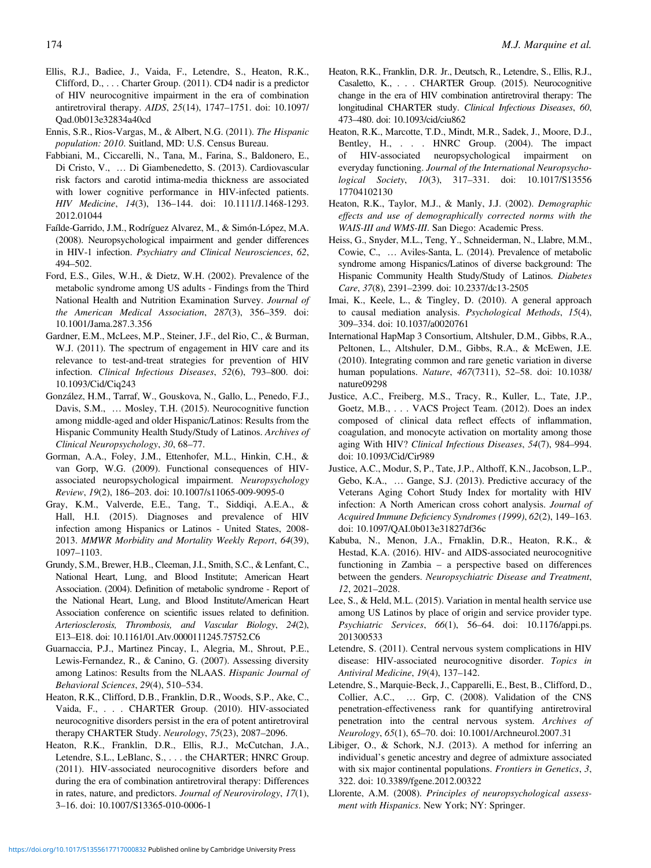- <span id="page-11-0"></span>Ellis, R.J., Badiee, J., Vaida, F., Letendre, S., Heaton, R.K., Clifford, D., . . . Charter Group. (2011). CD4 nadir is a predictor of HIV neurocognitive impairment in the era of combination antiretroviral therapy. AIDS, 25(14), 1747–1751. doi: 10.1097/ Qad.0b013e32834a40cd
- Ennis, S.R., Rios-Vargas, M., & Albert, N.G. (2011). The Hispanic population: 2010. Suitland, MD: U.S. Census Bureau.
- Fabbiani, M., Ciccarelli, N., Tana, M., Farina, S., Baldonero, E., Di Cristo, V., … Di Giambenedetto, S. (2013). Cardiovascular risk factors and carotid intima-media thickness are associated with lower cognitive performance in HIV-infected patients. HIV Medicine, 14(3), 136–144. doi: 10.1111/J.1468-1293. 2012.01044
- Faílde-Garrido, J.M., Rodríguez Alvarez, M., & Simón-López, M.A. (2008). Neuropsychological impairment and gender differences in HIV-1 infection. Psychiatry and Clinical Neurosciences, 62, 494–502.
- Ford, E.S., Giles, W.H., & Dietz, W.H. (2002). Prevalence of the metabolic syndrome among US adults - Findings from the Third National Health and Nutrition Examination Survey. Journal of the American Medical Association, 287(3), 356–359. doi: 10.1001/Jama.287.3.356
- Gardner, E.M., McLees, M.P., Steiner, J.F., del Rio, C., & Burman, W.J. (2011). The spectrum of engagement in HIV care and its relevance to test-and-treat strategies for prevention of HIV infection. Clinical Infectious Diseases, 52(6), 793–800. doi: 10.1093/Cid/Ciq243
- González, H.M., Tarraf, W., Gouskova, N., Gallo, L., Penedo, F.J., Davis, S.M., … Mosley, T.H. (2015). Neurocognitive function among middle-aged and older Hispanic/Latinos: Results from the Hispanic Community Health Study/Study of Latinos. Archives of Clinical Neuropsychology, 30, 68–77.
- Gorman, A.A., Foley, J.M., Ettenhofer, M.L., Hinkin, C.H., & van Gorp, W.G. (2009). Functional consequences of HIVassociated neuropsychological impairment. Neuropsychology Review, 19(2), 186–203. doi: 10.1007/s11065-009-9095-0
- Gray, K.M., Valverde, E.E., Tang, T., Siddiqi, A.E.A., & Hall, H.I. (2015). Diagnoses and prevalence of HIV infection among Hispanics or Latinos - United States, 2008- 2013. MMWR Morbidity and Mortality Weekly Report, 64(39), 1097–1103.
- Grundy, S.M., Brewer, H.B., Cleeman, J.I., Smith, S.C., & Lenfant, C., National Heart, Lung, and Blood Institute; American Heart Association. (2004). Definition of metabolic syndrome - Report of the National Heart, Lung, and Blood Institute/American Heart Association conference on scientific issues related to definition. Arteriosclerosis, Thrombosis, and Vascular Biology, 24(2), E13–E18. doi: 10.1161/01.Atv.0000111245.75752.C6
- Guarnaccia, P.J., Martinez Pincay, I., Alegria, M., Shrout, P.E., Lewis-Fernandez, R., & Canino, G. (2007). Assessing diversity among Latinos: Results from the NLAAS. Hispanic Journal of Behavioral Sciences, 29(4), 510–534.
- Heaton, R.K., Clifford, D.B., Franklin, D.R., Woods, S.P., Ake, C., Vaida, F., . . . CHARTER Group. (2010). HIV-associated neurocognitive disorders persist in the era of potent antiretroviral therapy CHARTER Study. Neurology, 75(23), 2087–2096.
- Heaton, R.K., Franklin, D.R., Ellis, R.J., McCutchan, J.A., Letendre, S.L., LeBlanc, S., . . . the CHARTER; HNRC Group. (2011). HIV-associated neurocognitive disorders before and during the era of combination antiretroviral therapy: Differences in rates, nature, and predictors. Journal of Neurovirology, 17(1), 3–16. doi: 10.1007/S13365-010-0006-1
- Heaton, R.K., Franklin, D.R. Jr., Deutsch, R., Letendre, S., Ellis, R.J., Casaletto, K., . . . CHARTER Group. (2015). Neurocognitive change in the era of HIV combination antiretroviral therapy: The longitudinal CHARTER study. Clinical Infectious Diseases, 60, 473–480. doi: 10.1093/cid/ciu862
- Heaton, R.K., Marcotte, T.D., Mindt, M.R., Sadek, J., Moore, D.J., Bentley, H., . . . HNRC Group. (2004). The impact of HIV-associated neuropsychological impairment on everyday functioning. Journal of the International Neuropsychological Society, 10(3), 317–331. doi: 10.1017/S13556 17704102130
- Heaton, R.K., Taylor, M.J., & Manly, J.J. (2002). Demographic effects and use of demographically corrected norms with the WAIS-III and WMS-III. San Diego: Academic Press.
- Heiss, G., Snyder, M.L., Teng, Y., Schneiderman, N., Llabre, M.M., Cowie, C., … Aviles-Santa, L. (2014). Prevalence of metabolic syndrome among Hispanics/Latinos of diverse background: The Hispanic Community Health Study/Study of Latinos. Diabetes Care, 37(8), 2391–2399. doi: 10.2337/dc13-2505
- Imai, K., Keele, L., & Tingley, D. (2010). A general approach to causal mediation analysis. Psychological Methods, 15(4), 309–334. doi: 10.1037/a0020761
- International HapMap 3 Consortium, Altshuler, D.M., Gibbs, R.A., Peltonen, L., Altshuler, D.M., Gibbs, R.A., & McEwen, J.E. (2010). Integrating common and rare genetic variation in diverse human populations. Nature, 467(7311), 52–58. doi: 10.1038/ nature09298
- Justice, A.C., Freiberg, M.S., Tracy, R., Kuller, L., Tate, J.P., Goetz, M.B., . . . VACS Project Team. (2012). Does an index composed of clinical data reflect effects of inflammation, coagulation, and monocyte activation on mortality among those aging With HIV? Clinical Infectious Diseases, 54(7), 984–994. doi: 10.1093/Cid/Cir989
- Justice, A.C., Modur, S, P., Tate, J.P., Althoff, K.N., Jacobson, L.P., Gebo, K.A., … Gange, S.J. (2013). Predictive accuracy of the Veterans Aging Cohort Study Index for mortality with HIV infection: A North American cross cohort analysis. Journal of Acquired Immune Deficiency Syndromes (1999), 62(2), 149–163. doi: 10.1097/QAI.0b013e31827df36c
- Kabuba, N., Menon, J.A., Frnaklin, D.R., Heaton, R.K., & Hestad, K.A. (2016). HIV- and AIDS-associated neurocognitive functioning in Zambia – a perspective based on differences between the genders. Neuropsychiatric Disease and Treatment, 12, 2021–2028.
- Lee, S., & Held, M.L. (2015). Variation in mental health service use among US Latinos by place of origin and service provider type. Psychiatric Services, 66(1), 56–64. doi: 10.1176/appi.ps. 201300533
- Letendre, S. (2011). Central nervous system complications in HIV disease: HIV-associated neurocognitive disorder. Topics in Antiviral Medicine, 19(4), 137–142.
- Letendre, S., Marquie-Beck, J., Capparelli, E., Best, B., Clifford, D., Collier, A.C., … Grp, C. (2008). Validation of the CNS penetration-effectiveness rank for quantifying antiretroviral penetration into the central nervous system. Archives of Neurology, 65(1), 65–70. doi: 10.1001/Archneurol.2007.31
- Libiger, O., & Schork, N.J. (2013). A method for inferring an individual's genetic ancestry and degree of admixture associated with six major continental populations. Frontiers in Genetics, 3, 322. doi: 10.3389/fgene.2012.00322
- Llorente, A.M. (2008). Principles of neuropsychological assessment with Hispanics. New York; NY: Springer.